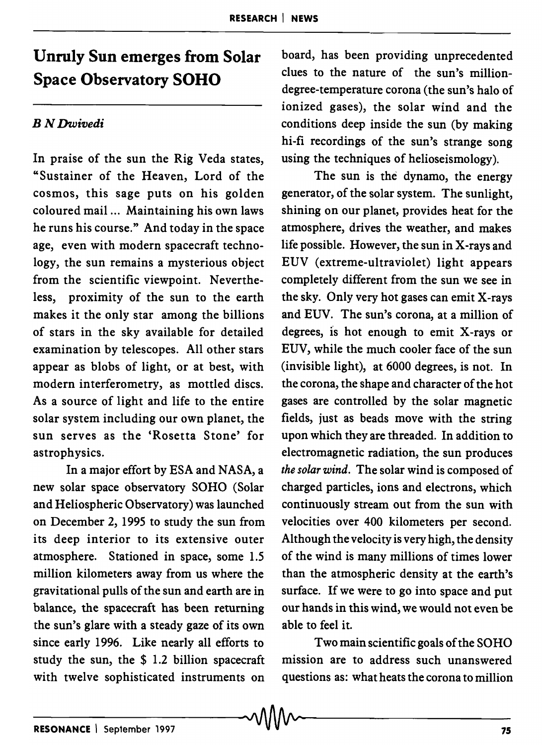## **Unruly Sun emerges from Solar Space Observatory SOHO**

## *BN Dwivedi*

In praise of the sun the Rig Veda states, "Sustainer of the Heaven, Lord of the cosmos, this sage puts on his golden coloured mail ... Maintaining his own laws he runs his course." And today in the space age, even with modern spacecraft technology, the sun remains a mysterious object from the scientific viewpoint. Nevertheless, proximity of the sun to the earth makes it the only star among the billions of stars in the sky available for detailed examination by telescopes. All other stars appear as blobs of light, or at best, with modern interferometry, as mottled discs. As a source of light and life to the entire solar system including our own planet, the sun serves as the 'Rosetta Stone' for astrophysics.

In a major effort by ESA and NASA, a new solar space observatory SOHO (Solar and Heliospheric Observatory) was launched on December 2, 1995 to study the sun from its deep interior to its extensive outer atmosphere. Stationed in space, some 1.5 million kilometers away from us where the gravitational pulls of the sun and earth are in balance, the spacecraft has been returning the sun's glare with a steady gaze of its own since early 1996. Like nearly all efforts to study the sun, the \$ 1.2 billion spacecraft with twelve sophisticated instruments on

board, has been providing unprecedented clues to the nature of the sun's milliondegree-temperature corona (the sun's halo of ionized gases), the solar wind and the conditions deep inside the sun (by making hi-fi recordings of the sun's strange song using the techniques of helioseismology).

The sun is the dynamo, the energy generator, of the solar system. The sunlight, shining on our planet, provides heat for the atmosphere, drives the weather, and makes life possible. However, the sun in X-rays and EUV (extreme-ultraviolet) light appears completely different from the sun we see in the sky. Only very hot gases can emit X-rays and EUV. The sun's corona, at a million of degrees, is hot enough to emit X-rays or EUV, while the much cooler face of the sun (invisible light), at 6000 degrees, is not. In the corona, the shape and character of the hot gases are controlled by the solar magnetic fields, just as beads move with the string upon which they are threaded. In addition to electromagnetic radiation, the sun produces *the solar wind.* The solar wind is composed of charged particles, ions and electrons, which continuously stream out from the sun with velocities over 400 kilometers per second. Although the velocity is very high, the density of the wind is many millions of times lower than the atmospheric density at the earth's surface. If we were to go into space and put our hands in this wind, we would not even be able to feel it.

Two main scientific goals of the SORO mission are to address such unanswered questions as: what heats the corona to million